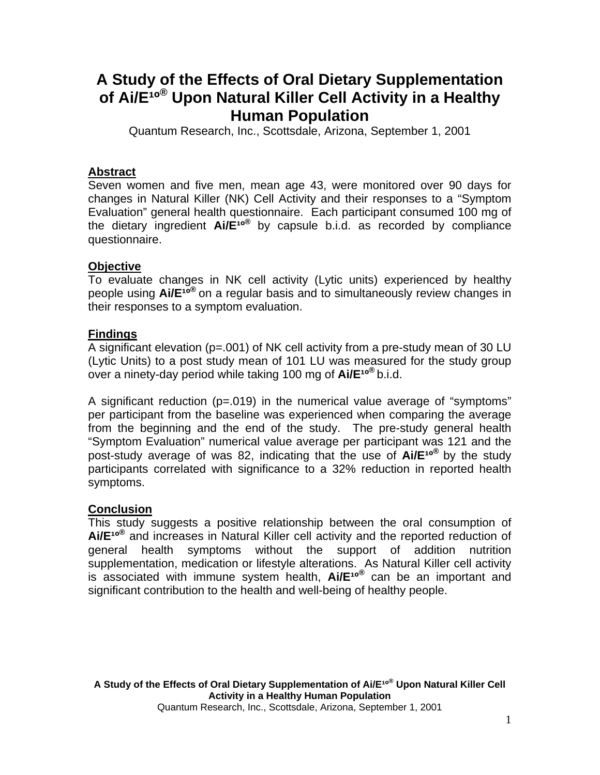# **A Study of the Effects of Oral Dietary Supplementation**  of Ai/E<sup>10®</sup> Upon Natural Killer Cell Activity in a Healthy **Human Population**

Quantum Research, Inc., Scottsdale, Arizona, September 1, 2001

# **Abstract**

Seven women and five men, mean age 43, were monitored over 90 days for changes in Natural Killer (NK) Cell Activity and their responses to a "Symptom Evaluation" general health questionnaire. Each participant consumed 100 mg of the dietary ingredient **Ai/E<sup>10®</sup>** by capsule b.i.d. as recorded by compliance questionnaire.

# **Objective**

To evaluate changes in NK cell activity (Lytic units) experienced by healthy people using **Ai/E<sup>10®</sup>** on a regular basis and to simultaneously review changes in their responses to a symptom evaluation.

# **Findings**

A significant elevation (p=.001) of NK cell activity from a pre-study mean of 30 LU (Lytic Units) to a post study mean of 101 LU was measured for the study group over a ninety-day period while taking 100 mg of **Ai/E<sup>10®</sup> b.i.d.** 

A significant reduction (p=.019) in the numerical value average of "symptoms" per participant from the baseline was experienced when comparing the average from the beginning and the end of the study. The pre-study general health "Symptom Evaluation" numerical value average per participant was 121 and the post-study average of was 82, indicating that the use of **Ai/E<sup>10®</sup>** by the study participants correlated with significance to a 32% reduction in reported health symptoms.

# **Conclusion**

This study suggests a positive relationship between the oral consumption of Ai/E<sup>10®</sup> and increases in Natural Killer cell activity and the reported reduction of general health symptoms without the support of addition nutrition supplementation, medication or lifestyle alterations. As Natural Killer cell activity is associated with immune system health, **Ai/E<sup>10®</sup>** can be an important and significant contribution to the health and well-being of healthy people.

A Study of the Effects of Oral Dietary Supplementation of Ai/E<sup>10®</sup> Upon Natural Killer Cell **Activity in a Healthy Human Population**  Quantum Research, Inc., Scottsdale, Arizona, September 1, 2001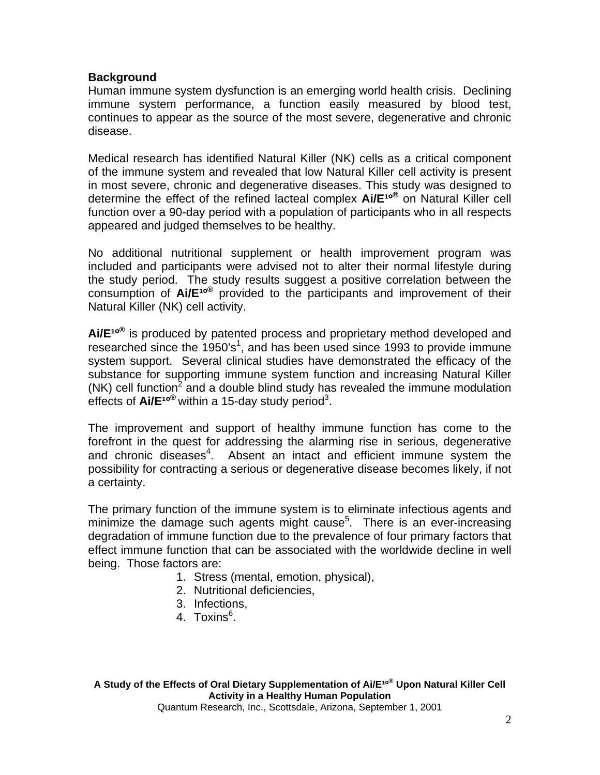# **Background**

Human immune system dysfunction is an emerging world health crisis. Declining immune system performance, a function easily measured by blood test, continues to appear as the source of the most severe, degenerative and chronic disease.

Medical research has identified Natural Killer (NK) cells as a critical component of the immune system and revealed that low Natural Killer cell activity is present in most severe, chronic and degenerative diseases. This study was designed to determine the effect of the refined lacteal complex  $AIE^{10}$ <sup>®</sup> on Natural Killer cell function over a 90-day period with a population of participants who in all respects appeared and judged themselves to be healthy.

No additional nutritional supplement or health improvement program was included and participants were advised not to alter their normal lifestyle during the study period. The study results suggest a positive correlation between the consumption of **Ai/E<sup>10®</sup>** provided to the participants and improvement of their Natural Killer (NK) cell activity.

Ai/E<sup>10®</sup> is produced by patented process and proprietary method developed and researched since the  $1950's<sup>1</sup>$ , and has been used since 1993 to provide immune system support. Several clinical studies have demonstrated the efficacy of the substance for supporting immune system function and increasing Natural Killer  $(NK)$  cell function<sup>2</sup> and a double blind study has revealed the immune modulation effects of Ai/E<sup>10®</sup> within a 15-day study period<sup>3</sup>.

The improvement and support of healthy immune function has come to the forefront in the quest for addressing the alarming rise in serious, degenerative and chronic diseases<sup>4</sup>. Absent an intact and efficient immune system the possibility for contracting a serious or degenerative disease becomes likely, if not a certainty.

The primary function of the immune system is to eliminate infectious agents and minimize the damage such agents might cause<sup>5</sup>. There is an ever-increasing degradation of immune function due to the prevalence of four primary factors that effect immune function that can be associated with the worldwide decline in well being. Those factors are:

- 1. Stress (mental, emotion, physical),
- 2. Nutritional deficiencies,
- 3. Infections,
- 4. Toxins<sup>6</sup>.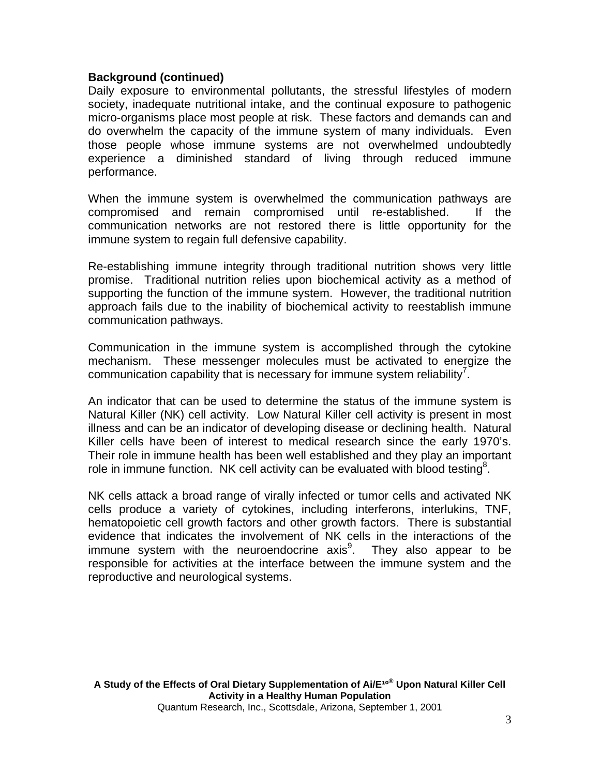### **Background (continued)**

Daily exposure to environmental pollutants, the stressful lifestyles of modern society, inadequate nutritional intake, and the continual exposure to pathogenic micro-organisms place most people at risk. These factors and demands can and do overwhelm the capacity of the immune system of many individuals. Even those people whose immune systems are not overwhelmed undoubtedly experience a diminished standard of living through reduced immune performance.

When the immune system is overwhelmed the communication pathways are compromised and remain compromised until re-established. If the communication networks are not restored there is little opportunity for the immune system to regain full defensive capability.

Re-establishing immune integrity through traditional nutrition shows very little promise. Traditional nutrition relies upon biochemical activity as a method of supporting the function of the immune system. However, the traditional nutrition approach fails due to the inability of biochemical activity to reestablish immune communication pathways.

Communication in the immune system is accomplished through the cytokine mechanism. These messenger molecules must be activated to energize the communication capability that is necessary for immune system reliability<sup>7</sup>.

An indicator that can be used to determine the status of the immune system is Natural Killer (NK) cell activity.Low Natural Killer cell activity is present in most illness and can be an indicator of developing disease or declining health. Natural Killer cells have been of interest to medical research since the early 1970's. Their role in immune health has been well established and they play an important role in immune function. NK cell activity can be evaluated with blood testing<sup>8</sup>.

NK cells attack a broad range of virally infected or tumor cells and activated NK cells produce a variety of cytokines, including interferons, interlukins, TNF, hematopoietic cell growth factors and other growth factors. There is substantial evidence that indicates the involvement of NK cells in the interactions of the immune system with the neuroendocrine  $axis<sup>9</sup>$ . They also appear to be responsible for activities at the interface between the immune system and the reproductive and neurological systems.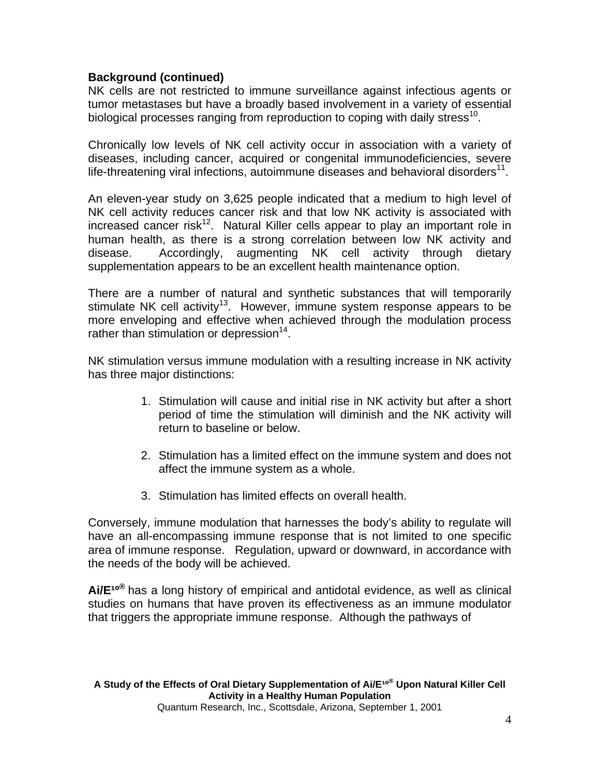# **Background (continued)**

NK cells are not restricted to immune surveillance against infectious agents or tumor metastases but have a broadly based involvement in a variety of essential biological processes ranging from reproduction to coping with daily stress<sup>10</sup>.

Chronically low levels of NK cell activity occur in association with a variety of diseases, including cancer, acquired or congenital immunodeficiencies, severe life-threatening viral infections, autoimmune diseases and behavioral disorders $11$ .

An eleven-year study on 3,625 people indicated that a medium to high level of NK cell activity reduces cancer risk and that low NK activity is associated with increased cancer risk<sup>12</sup>. Natural Killer cells appear to play an important role in human health, as there is a strong correlation between low NK activity and disease. Accordingly, augmenting NK cell activity through dietary supplementation appears to be an excellent health maintenance option.

There are a number of natural and synthetic substances that will temporarily stimulate NK cell activity<sup>13</sup>. However, immune system response appears to be more enveloping and effective when achieved through the modulation process rather than stimulation or depression<sup>14</sup>.

NK stimulation versus immune modulation with a resulting increase in NK activity has three major distinctions:

- 1. Stimulation will cause and initial rise in NK activity but after a short period of time the stimulation will diminish and the NK activity will return to baseline or below.
- 2. Stimulation has a limited effect on the immune system and does not affect the immune system as a whole.
- 3. Stimulation has limited effects on overall health.

Conversely, immune modulation that harnesses the body's ability to regulate will have an all-encompassing immune response that is not limited to one specific area of immune response. Regulation, upward or downward, in accordance with the needs of the body will be achieved.

Ai/E<sup>10®</sup> has a long history of empirical and antidotal evidence, as well as clinical studies on humans that have proven its effectiveness as an immune modulator that triggers the appropriate immune response. Although the pathways of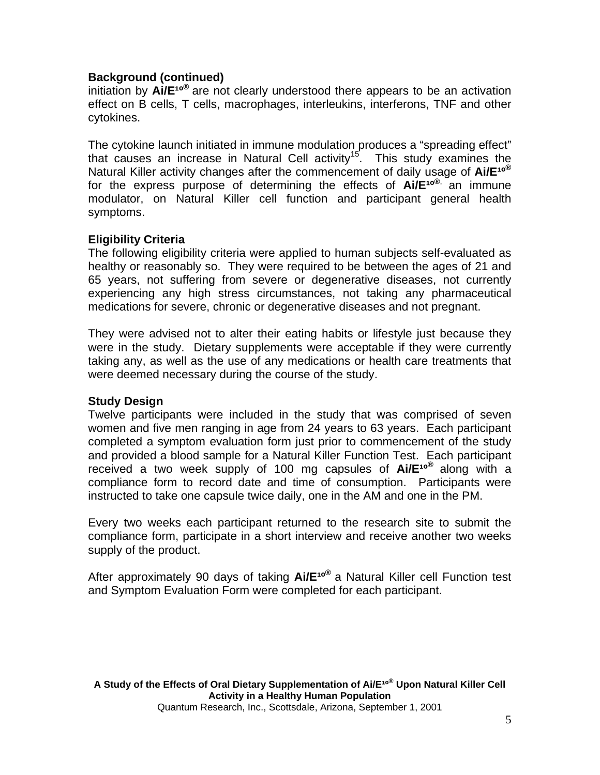# **Background (continued)**

initiation by **Ai/E<sup>10®</sup>** are not clearly understood there appears to be an activation effect on B cells, T cells, macrophages, interleukins, interferons, TNF and other cytokines.

The cytokine launch initiated in immune modulation produces a "spreading effect" that causes an increase in Natural Cell activity<sup>15</sup>. This study examines the Natural Killer activity changes after the commencement of daily usage of Ai/E<sup>10®</sup> for the express purpose of determining the effects of **Ai/E<sup>10®,</sup> an immune** modulator, on Natural Killer cell function and participant general health symptoms.

# **Eligibility Criteria**

The following eligibility criteria were applied to human subjects self-evaluated as healthy or reasonably so. They were required to be between the ages of 21 and 65 years, not suffering from severe or degenerative diseases, not currently experiencing any high stress circumstances, not taking any pharmaceutical medications for severe, chronic or degenerative diseases and not pregnant.

They were advised not to alter their eating habits or lifestyle just because they were in the study. Dietary supplements were acceptable if they were currently taking any, as well as the use of any medications or health care treatments that were deemed necessary during the course of the study.

# **Study Design**

Twelve participants were included in the study that was comprised of seven women and five men ranging in age from 24 years to 63 years. Each participant completed a symptom evaluation form just prior to commencement of the study and provided a blood sample for a Natural Killer Function Test. Each participant received a two week supply of 100 mg capsules of **Ai/E<sup>10®</sup> along with a** compliance form to record date and time of consumption. Participants were instructed to take one capsule twice daily, one in the AM and one in the PM.

Every two weeks each participant returned to the research site to submit the compliance form, participate in a short interview and receive another two weeks supply of the product.

After approximately 90 days of taking **Ai/E<sup>10®</sup>** a Natural Killer cell Function test and Symptom Evaluation Form were completed for each participant.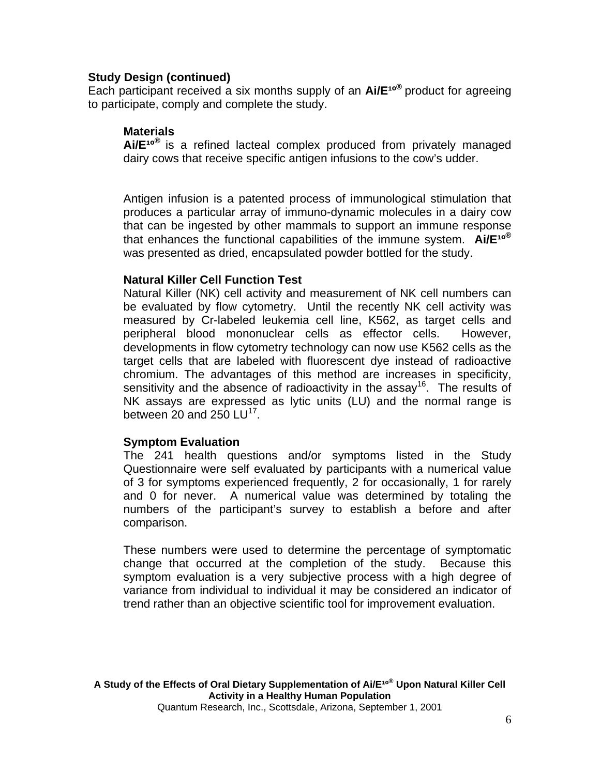### **Study Design (continued)**

Each participant received a six months supply of an **Ai/E<sup>10®</sup>** product for agreeing to participate, comply and complete the study.

### **Materials**

Ai/E<sup>10®</sup> is a refined lacteal complex produced from privately managed dairy cows that receive specific antigen infusions to the cow's udder.

Antigen infusion is a patented process of immunological stimulation that produces a particular array of immuno-dynamic molecules in a dairy cow that can be ingested by other mammals to support an immune response that enhances the functional capabilities of the immune system. Ai/E<sup>10®</sup> was presented as dried, encapsulated powder bottled for the study.

#### **Natural Killer Cell Function Test**

Natural Killer (NK) cell activity and measurement of NK cell numbers can be evaluated by flow cytometry. Until the recently NK cell activity was measured by Cr-labeled leukemia cell line, K562, as target cells and peripheral blood mononuclear cells as effector cells. However, developments in flow cytometry technology can now use K562 cells as the target cells that are labeled with fluorescent dye instead of radioactive chromium. The advantages of this method are increases in specificity, sensitivity and the absence of radioactivity in the assay<sup>16</sup>. The results of NK assays are expressed as lytic units (LU) and the normal range is between 20 and 250  $LU^{17}$ .

#### **Symptom Evaluation**

The 241 health questions and/or symptoms listed in the Study Questionnaire were self evaluated by participants with a numerical value of 3 for symptoms experienced frequently, 2 for occasionally, 1 for rarely and 0 for never. A numerical value was determined by totaling the numbers of the participant's survey to establish a before and after comparison.

These numbers were used to determine the percentage of symptomatic change that occurred at the completion of the study. Because this symptom evaluation is a very subjective process with a high degree of variance from individual to individual it may be considered an indicator of trend rather than an objective scientific tool for improvement evaluation.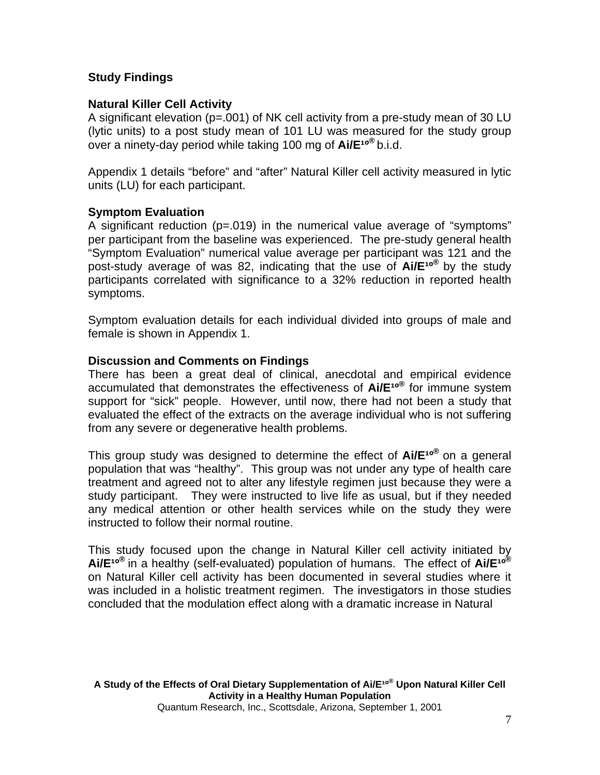# **Study Findings**

# **Natural Killer Cell Activity**

A significant elevation (p=.001) of NK cell activity from a pre-study mean of 30 LU (lytic units) to a post study mean of 101 LU was measured for the study group over a ninety-day period while taking 100 mg of **Ai/E<sup>10®</sup> b.i.d.** 

Appendix 1 details "before" and "after" Natural Killer cell activity measured in lytic units (LU) for each participant.

# **Symptom Evaluation**

A significant reduction (p=.019) in the numerical value average of "symptoms" per participant from the baseline was experienced. The pre-study general health "Symptom Evaluation" numerical value average per participant was 121 and the post-study average of was 82, indicating that the use of **Ai/E<sup>10®</sup>** by the study participants correlated with significance to a 32% reduction in reported health symptoms.

Symptom evaluation details for each individual divided into groups of male and female is shown in Appendix 1.

# **Discussion and Comments on Findings**

There has been a great deal of clinical, anecdotal and empirical evidence accumulated that demonstrates the effectiveness of **Ai/E<sup>10®</sup>** for immune system support for "sick" people. However, until now, there had not been a study that evaluated the effect of the extracts on the average individual who is not suffering from any severe or degenerative health problems.

This group study was designed to determine the effect of **Ai/E<sup>10®</sup>** on a general population that was "healthy". This group was not under any type of health care treatment and agreed not to alter any lifestyle regimen just because they were a study participant. They were instructed to live life as usual, but if they needed any medical attention or other health services while on the study they were instructed to follow their normal routine.

This study focused upon the change in Natural Killer cell activity initiated by Ai/E<sup>10®</sup> in a healthy (self-evaluated) population of humans. The effect of Ai/E<sup>10®</sup> on Natural Killer cell activity has been documented in several studies where it was included in a holistic treatment regimen. The investigators in those studies concluded that the modulation effect along with a dramatic increase in Natural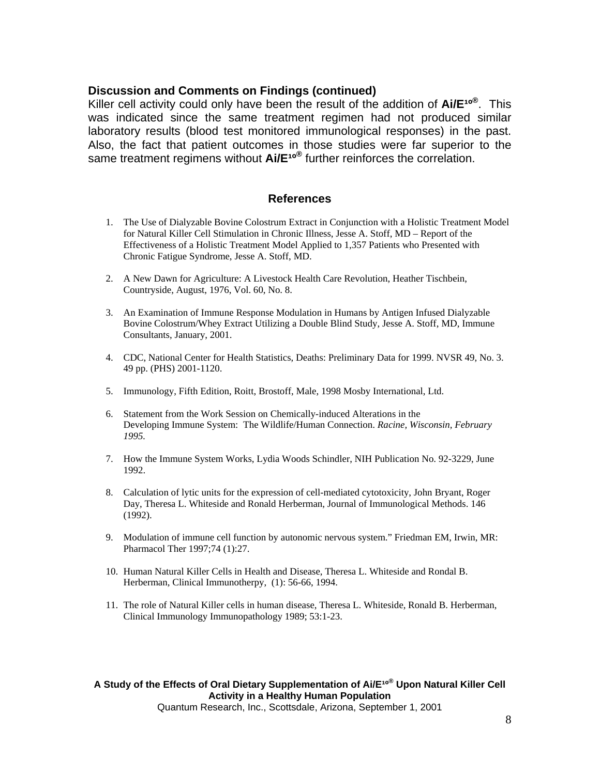#### **Discussion and Comments on Findings (continued)**

Killer cell activity could only have been the result of the addition of Ai/E<sup>10®</sup>. This was indicated since the same treatment regimen had not produced similar laboratory results (blood test monitored immunological responses) in the past. Also, the fact that patient outcomes in those studies were far superior to the same treatment regimens without  $\mathsf{Ai}/\mathsf{E}^{\mathsf{10}^{\circledcirc}}$  further reinforces the correlation.

#### **References**

- 1. The Use of Dialyzable Bovine Colostrum Extract in Conjunction with a Holistic Treatment Model for Natural Killer Cell Stimulation in Chronic Illness, Jesse A. Stoff, MD – Report of the Effectiveness of a Holistic Treatment Model Applied to 1,357 Patients who Presented with Chronic Fatigue Syndrome, Jesse A. Stoff, MD.
- 2. A New Dawn for Agriculture: A Livestock Health Care Revolution, Heather Tischbein, Countryside, August, 1976, Vol. 60, No. 8.
- 3. An Examination of Immune Response Modulation in Humans by Antigen Infused Dialyzable Bovine Colostrum/Whey Extract Utilizing a Double Blind Study, Jesse A. Stoff, MD, Immune Consultants, January, 2001.
- 4. CDC, National Center for Health Statistics, Deaths: Preliminary Data for 1999. NVSR 49, No. 3. 49 pp. (PHS) 2001-1120.
- 5. Immunology, Fifth Edition, Roitt, Brostoff, Male, 1998 Mosby International, Ltd.
- 6. Statement from the Work Session on Chemically-induced Alterations in the Developing Immune System: The Wildlife/Human Connection. *Racine, Wisconsin, February 1995.*
- 7. How the Immune System Works, Lydia Woods Schindler, NIH Publication No. 92-3229, June 1992.
- 8. Calculation of lytic units for the expression of cell-mediated cytotoxicity, John Bryant, Roger Day, Theresa L. Whiteside and Ronald Herberman, Journal of Immunological Methods. 146 (1992).
- 9. Modulation of immune cell function by autonomic nervous system." Friedman EM, Irwin, MR: Pharmacol Ther 1997;74 (1):27.
- 10. Human Natural Killer Cells in Health and Disease, Theresa L. Whiteside and Rondal B. Herberman, Clinical Immunotherpy, (1): 56-66, 1994.
- 11. The role of Natural Killer cells in human disease, Theresa L. Whiteside, Ronald B. Herberman, Clinical Immunology Immunopathology 1989; 53:1-23.

A Study of the Effects of Oral Dietary Supplementation of Ai/E<sup>10®</sup> Upon Natural Killer Cell **Activity in a Healthy Human Population** 

Quantum Research, Inc., Scottsdale, Arizona, September 1, 2001